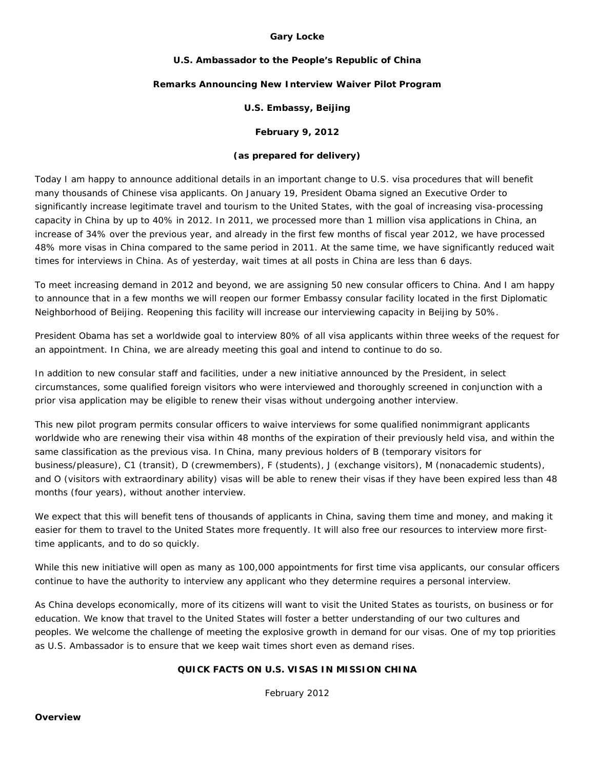#### **Gary Locke**

#### **U.S. Ambassador to the People's Republic of China**

#### **Remarks Announcing New Interview Waiver Pilot Program**

### **U.S. Embassy, Beijing**

# **February 9, 2012**

# *(as prepared for delivery)*

Today I am happy to announce additional details in an important change to U.S. visa procedures that will benefit many thousands of Chinese visa applicants. On January 19, President Obama signed an Executive Order to significantly increase legitimate travel and tourism to the United States, with the goal of increasing visa-processing capacity in China by up to 40% in 2012. In 2011, we processed more than 1 million visa applications in China, an increase of 34% over the previous year, and already in the first few months of fiscal year 2012, we have processed 48% more visas in China compared to the same period in 2011. At the same time, we have significantly reduced wait times for interviews in China. As of yesterday, wait times at all posts in China are less than 6 days.

To meet increasing demand in 2012 and beyond, we are assigning 50 new consular officers to China. And I am happy to announce that in a few months we will reopen our former Embassy consular facility located in the first Diplomatic Neighborhood of Beijing. Reopening this facility will increase our interviewing capacity in Beijing by 50%.

President Obama has set a worldwide goal to interview 80% of all visa applicants within three weeks of the request for an appointment. In China, we are already meeting this goal and intend to continue to do so.

In addition to new consular staff and facilities, under a new initiative announced by the President, in select circumstances, some qualified foreign visitors who were interviewed and thoroughly screened in conjunction with a prior visa application may be eligible to renew their visas without undergoing another interview.

This new pilot program permits consular officers to waive interviews for some qualified nonimmigrant applicants worldwide who are renewing their visa within 48 months of the expiration of their previously held visa, and within the same classification as the previous visa. In China, many previous holders of B (temporary visitors for business/pleasure), C1 (transit), D (crewmembers), F (students), J (exchange visitors), M (nonacademic students), and O (visitors with extraordinary ability) visas will be able to renew their visas if they have been expired less than 48 months (four years), without another interview.

We expect that this will benefit tens of thousands of applicants in China, saving them time and money, and making it easier for them to travel to the United States more frequently. It will also free our resources to interview more firsttime applicants, and to do so quickly.

While this new initiative will open as many as 100,000 appointments for first time visa applicants, our consular officers continue to have the authority to interview any applicant who they determine requires a personal interview.

As China develops economically, more of its citizens will want to visit the United States as tourists, on business or for education. We know that travel to the United States will foster a better understanding of our two cultures and peoples. We welcome the challenge of meeting the explosive growth in demand for our visas. One of my top priorities as U.S. Ambassador is to ensure that we keep wait times short even as demand rises.

## **QUICK FACTS ON U.S. VISAS IN MISSION CHINA**

February 2012